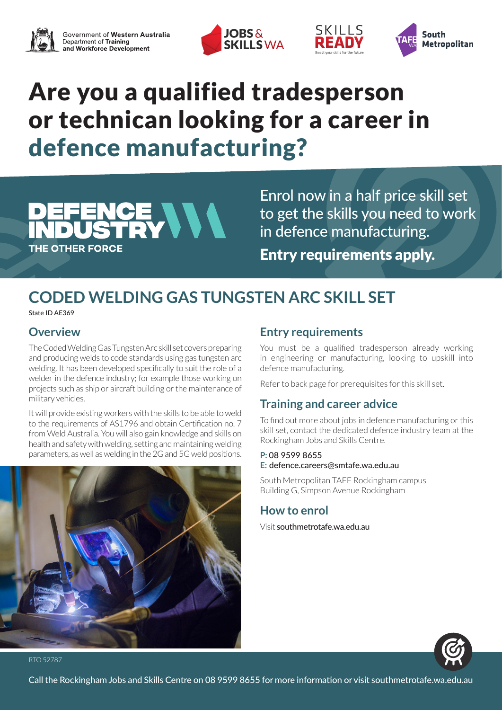





# Are you a qualified tradesperson or technican looking for a career in defence manufacturing?

## CE VVV THE OTHER FORCE

Enrol now in a half price skill set to get the skills you need to work in defence manufacturing. Entry requirements apply.

SKILLS

## **CODED WELDING GAS TUNGSTEN ARC SKILL SET**

State ID AE369

## **Overview**

The Coded Welding Gas Tungsten Arc skill set covers preparing and producing welds to code standards using gas tungsten arc welding. It has been developed specifically to suit the role of a welder in the defence industry; for example those working on projects such as ship or aircraft building or the maintenance of military vehicles.

It will provide existing workers with the skills to be able to weld to the requirements of AS1796 and obtain Certification no. 7 from Weld Australia. You will also gain knowledge and skills on health and safety with welding, setting and maintaining welding parameters, as well as welding in the 2G and 5G weld positions.



## **Entry requirements**

You must be a qualified tradesperson already working in engineering or manufacturing, looking to upskill into defence manufacturing.

Refer to back page for prerequisites for this skill set.

## **Training and career advice**

To find out more about jobs in defence manufacturing or this skill set, contact the dedicated defence industry team at the Rockingham Jobs and Skills Centre.

#### **P:** 08 9599 8655

#### **E:** defence.careers@smtafe.wa.edu.au

South Metropolitan TAFE Rockingham campus Building G, Simpson Avenue Rockingham

### **How to enrol**

Visit southmetrotafe.wa.edu.au



RTO 52787